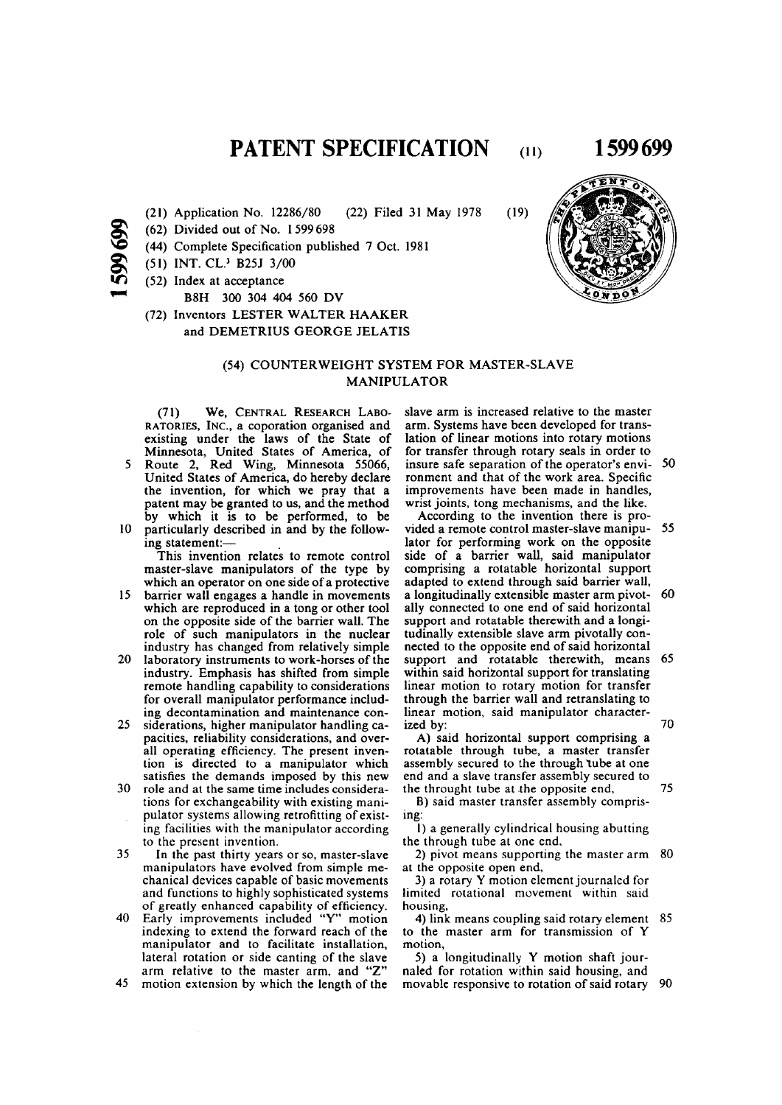**PATENT SPECIFICATION** (11) 1599 699

- **(21) Application No. 12286/80 (22) Filed 31 May 1978**
- **Q (62) Divided out of No. 1599698**
- (44) Complete Specification published 7 Oct. 1981
- **(51) INT. CL.<sup>3</sup> B25J 3/00**
- **(52) Index at acceptance** 
	- **B8H 300 304 404 560 DV**
- **(72) Inventors LESTER WALTER HAAKER and DEMETRIUS GEORGE JELATIS**

### **(54) COUNTERWEIGHT SYSTEM FOR MASTER-SLAVE MANIPULATOR**

(71 ) **We ,** CENTRAL RESEARCH LABO-RATORIES, INC**., a coporation organised and existing under the laws of the State of Minnesota, United States of America, of 5 Route 2, Red Wing, Minnesota 55066,** 

- **United States of America, do hereby declare the invention, for which we pray that a patent may be granted to us, and the method by which it is to be performed, to be 10 particularly described in and by the follow-**
- **ing statement:—**

**This invention relates to remote control master-slave manipulators of the type by which an operator on one side of a protective** 

- **15 barrier wall engages a handle in movements which are reproduced in a tong or other tool on the opposite side of the barrier wall. The role of such manipulators in the nuclear industry has changed from relatively simple**
- **20 laboratory instruments to work-horses of the industry. Emphasis has shifted from simple remote handling capability to considerations for overall manipulator performance including decontamination and maintenance con-**
- **25 siderations, higher manipulator handling capacities, reliability considerations, and overall operating efficiency. The present invention is directed to a manipulator which satisfies the demands imposed by this new**
- **30 role and at the same time includes considerations for exchangeability with existing manipulator systems allowing retrofitting of existing facilities with the manipulator according to the present invention.**
- **35 In the past thirty years or so, master-slave manipulators have evolved from simple mechanical devices capable of basic movements and functions to highly sophisticated systems of greatly enhanced capability of efficiency.**
- **40 Early improvements included "Y" motion indexing to extend the forward reach of the manipulator and to facilitate installation, lateral rotation or side canting of the slave arm relative to the master arm, and "Z"**
- **45 motion extension by which the length of the**

**slave arm is increased relative to the master arm. Systems have been developed for translation of linear motions into rotary motions for transfer through rotary seals in order to insure safe separation of the operator's envi- 50 ronment and that of the work area. Specific improvements have been made in handles, wrist joints, tong mechanisms, and the like.** 

**According to the invention there is provided a remote control master-slave manipu- 55 lator for performing work on the opposite side of a barrier wall, said manipulator comprising a rotatable horizontal support adapted to extend through said barrier wall, a longitudinally extensible master arm pivot- 60 ally connected to one end of said horizontal support and rotatable therewith and a longitudinally extensible slave arm pivotally connected to the opposite end of said horizontal support and rotatable therewith, means 65 within said horizontal support for translating linear motion to rotary motion for transfer through the barrier wall and retranslating to linear motion, said manipulator characterized by: 70** 

**A) said horizontal support comprising a rotatable through tube, a master transfer**  assembly secured to the through *tube* at one **end and a slave transfer assembly secured to the throught tube at the opposite end, 75** 

**B) said master transfer assembly comprising:** 

**1) a generally cylindrical housing abutting the through tube at one end,** 

**2) pivot means supporting the master arm 80 at the opposite open end,** 

**3) a rotary Y motion element journaled for limited rotational movement within said housing,** 

**4) link means coupling said rotary element 85 to the master arm for transmission of Y motion,** 

**5) a longitudinally Y motion shaft journaled for rotation within said housing, and movable responsive to rotation of said rotary 90** 

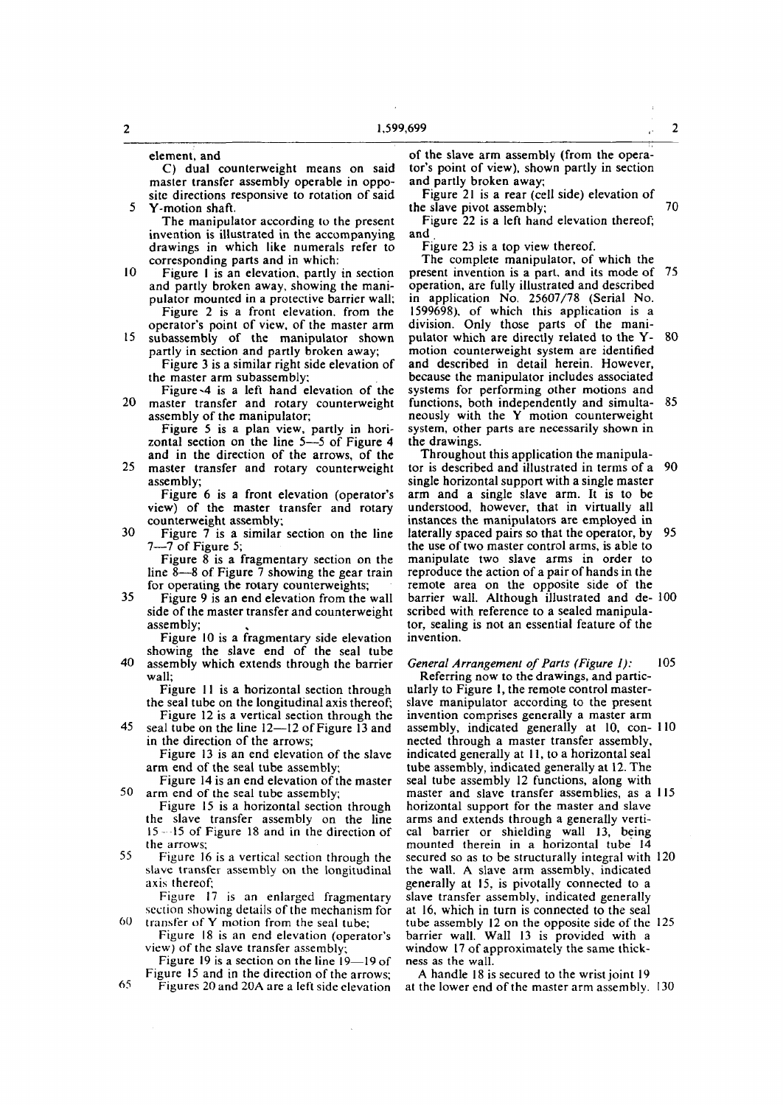**element, and** 

**C) dual counterweight means on said master transfer assembly operable in opposite directions responsive to rotation of said 5 Y-motion shaft.** 

**The manipulator according to the present invention is illustrated in the accompanying drawings in which like numerals refer to corresponding parts and in which:** 

**10 Figure I is an elevation, partly in section and partly broken away, showing the manipulator mounted in a protective barrier wall; Figure 2 is a front elevation, from the** 

**operator's point of view, of the master arm 15 subassembly of the manipulator shown partly in section and partly broken away;** 

**Figure 3 is a similar right side elevation of the master arm subassembly;** 

**Figure d is a left hand elevation of the 20 master transfer and rotary counterweight assembly of the manipulator;** 

**Figure 5 is a plan view, partly in horizontal section on the line 5—5 of Figure 4 and in the direction of the arrows, of the** 

**25 master transfer and rotary counterweight assembly;** 

**Figure 6 is a front elevation (operator's view) of the master transfer and rotary counterweight assembly;** 

**30 Figure 7 is a similar section on the line 7—7 of Figure 5;** 

**Figure 8 is a fragmentary section on the line 8—8 of Figure 7 showing the gear train for operating the rotary counterweights;** 

**35 Figure 9 is an end elevation from the wall side of the master transfer and counterweight assembly;** 

**Figure 10 is a fragmentary side elevation** 

**showing the slave end of the seal tube 40 assembly which extends through the barrier wall;** 

**Figure 11 is a horizontal section through the seal tube on the longitudinal axis thereof; Figure 12 is a vertical section through the** 

**45 seal tube on the line 12—12 of Figure 13 and in the direction of the arrows;** 

**Figure 13 is an end elevation of the slave arm end of the seal tube assembly;** 

**Figure 14 is an end elevation of the master 50 arm end of the seal tube assembly;** 

**Figure 15 is a horizontal section through the slave transfer assembly on the line 15- -15 of Figure 18 and in the direction of the arrows;** 

**55 Figure 16 is a vertical section through the slave transfer assembly on the longitudinal axis thereof:** 

**Figure 17 is an enlarged fragmentary section showing details of the mechanism for 60 transfer of Y motion from the seal tube;** 

**Figure 18 is an end elevation (operator's view) of the slave transfer assembly;** 

**Figure 19 is a section on the line 19—19 of Figure 15 and in the direction of the arrows;** 

65 **Figures 20 and 20A are a left side elevation** 

**of the slave arm assembly (from the operator's point of view), shown partly in section and partly broken away;** 

**Figure 21 is a rear (cell side) elevation of**  the slave pivot assembly;  $\overline{70}$ 

**Figure 22 is a left hand elevation thereof; and .** 

**Figure 23 is a top view thereof.** 

**The complete manipulator, of which the present invention is a part, and its mode of 75 operation, are fully illustrated and described in application No. 25607/78 (Serial No. 1599698), of which this application is a division. Only those parts of the manipulator which are directly related to the Y- 80 motion counterweight system are identified and described in detail herein. However, because the manipulator includes associated systems for performing other motions and functions, both independently and simulta- 85 neously with the Y motion counterweight system, other parts are necessarily shown in the drawings.** 

**Throughout this application the manipulator is described and illustrated in terms of a 90 single horizontal support with a single master arm and a single slave arm. It is to be understood, however, that in virtually all instances the manipulators are employed in laterally spaced pairs so that the operator, by 95 the use of two master control arms, is able to manipulate two slave arms in order to reproduce the action of a pair of hands in the remote area on the opposite side of the barrier wall. Although illustrated and de- 100 scribed with reference to a sealed manipulator, sealing is not an essential feature of the invention.** 

*General Arrangement of Parts (Figure 1):* **105 Referring now to the drawings, and particularly to Figure 1, the remote control masterslave manipulator according to the present invention comprises generally a master arm assembly, indicated generally at 10, con- 110 nected through a master transfer assembly, indicated generally at 11, to a horizontal seal tube assembly, indicated generally at 12. The seal tube assembly 12 functions, along with master and slave transfer assemblies, as a 115 horizontal support for the master and slave arms and extends through a generally vertical barrier or shielding wall 13, being mounted therein in a horizontal tube 14 secured so as to be structurally integral with 120 the wall. A slave arm assembly, indicated generally at 15, is pivotally connected to a slave transfer assembly, indicated generally at 16, which in turn is connected to the seal tube assembly 12 on the opposite side of the 125 barrier wall. Wall 13 is provided with a window 17 of approximately the same thickness as the wall.** 

**A handle 18 is secured to the wrist joint 19 at the lower end of the master arm assembly. 130**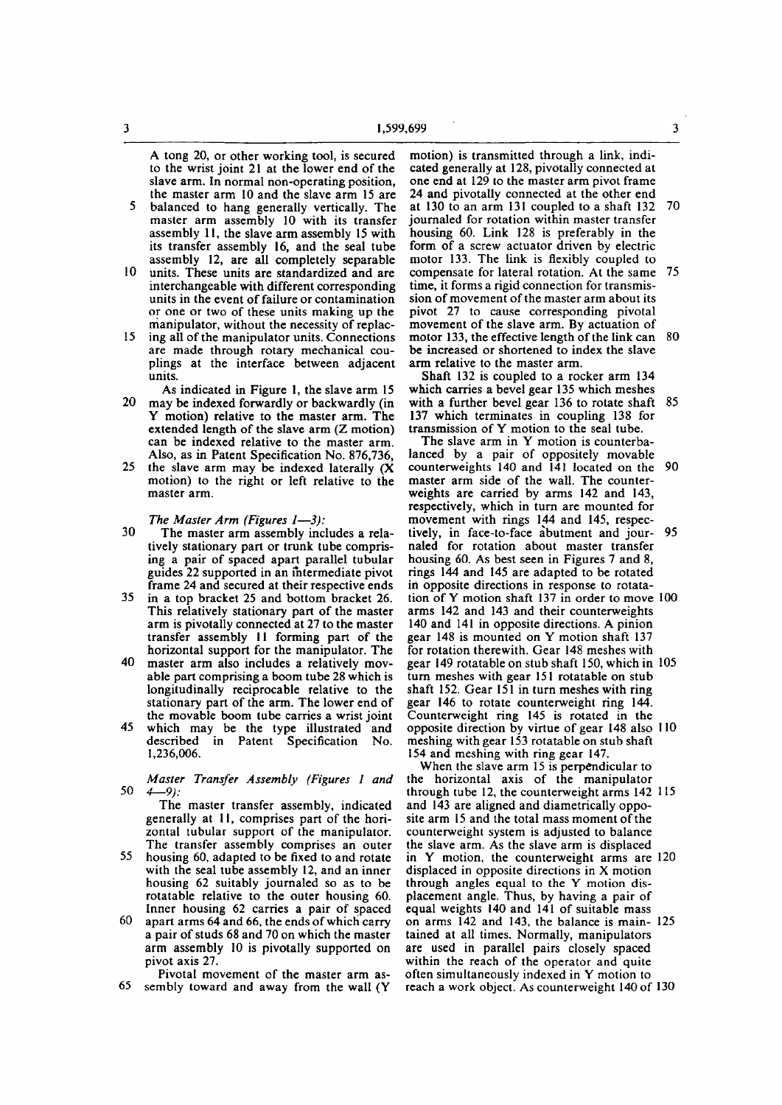**A tong 20, or other working tool, is secured to the wrist joint 21 at the lower end of the slave arm. In normal non-operating position, the master arm 10 and the slave arm 15 are** 

- **5 balanced to hang generally vertically. The master arm assembly 10 with its transfer assembly 11, the slave arm assembly 15 with its transfer assembly 16, and the seal tube assembly 12, are all completely separable**
- **10 units. These units are standardized and are interchangeable with different corresponding units in the event of failure or contamination or one or two of these units making up the manipulator, without the necessity of replac-**
- **15 ing all of the manipulator units. Connections are made through rotary mechanical couplings at the interface between adjacent units.**
- **As indicated in Figure 1, the slave arm 15 20 may be indexed forwardly or backwardly (in Y motion) relative to the master arm. The extended length of the slave arm (Z motion) can be indexed relative to the master arm. Also, as in Patent Specification No. 876,736,**
- **25 the slave arm may be indexed laterally (X motion) to the right or left relative to the master arm.**

*The Master Arm (Figures 1—3):* 

- **30 The master arm assembly includes a relatively stationary part or trunk tube comprising a pair of spaced apart parallel tubular guides 22 supported in an intermediate pivot frame 24 and secured at their respective ends**
- **35 in a top bracket 25 and bottom bracket 26. This relatively stationary part of the master arm is pivotally connected at 27 to the master transfer assembly 11 forming part of the horizontal support for the manipulator. The**
- **40 master arm also includes a relatively movable part comprising a boom tube 28 which is longitudinally reciprocable relative to the stationary part of the arm. The lower end of the movable boom tube carries a wrist joint**
- **45 which may be the type illustrated and described in Patent Specification No. 1,236,006.**
- *Master Transfer Assembly (Figures 1 and*  **50** *4—9):*

**The master transfer assembly, indicated generally at II, comprises part of the horizontal tubular support of the manipulator. The transfer assembly comprises an outer** 

- **55 housing 60, adapted to be fixed to and rotate with the seal tube assembly 12, and an inner housing 62 suitably journaled so as to be rotatable relative to the outer housing 60. Inner housing 62 carries a pair of spaced**
- **60 apart arms 64 and 66, the ends of which carry a pair of studs 68 and 70 on which the master arm assembly 10 is pivotally supported on pivot axis 27.**
- **Pivotal movement of the master arm as-65 sembly toward and away from the wall (Y**

**motion) is transmitted through a link, indicated generally at 128, pivotally connected at one end at 129 to the master arm pivot frame 24 and pivotally connected at the other end at 130 to an arm 131 coupled to a shaft 132 70 journaled for rotation within master transfer housing 60. Link 128 is preferably in the form of a screw actuator driven by electric motor 133. The link is flexibly coupled to compensate for lateral rotation. At the same 75 time, it forms a rigid connection for transmission of movement of the master arm about its pivot 27 to cause corresponding pivotal movement of the slave arm. By actuation of motor 133, the effective length of the link can 80 be increased or shortened to index the slave arm relative to the master arm.** 

**Shaft 132 is coupled to a rocker arm 134 which carries a bevel gear 135 which meshes with a further bevel gear 136 to rotate shaft 85 137 which terminates in coupling 138 for transmission of Y motion to the seal tube.** 

**The slave arm in Y motion is counterbalanced by a pair of oppositely movable counterweights 140 and 141 located on the 90 master arm side of the wall. The counterweights are carried by arms 142 and 143, respectively, which in turn are mounted for movement with rings 144 and 145, respectively, in face-to-face abutment and jour- 95 naled for rotation about master transfer housing 60. As best seen in Figures 7 and 8, rings 144 and 145 are adapted to be rotated in opposite directions in response to rotatation of Y motion shaft 137 in order to move 100 arms 142 and 143 and their counterweights 140 and 141 in opposite directions. A pinion gear 148 is mounted on Y motion shaft 137 for rotation therewith. Gear 148 meshes with gear 149 rotatable on stub shaft 150, which in 105 turn meshes with gear 151 rotatable on stub shaft 152. Gear 151 in turn meshes with ring gear 146 to rotate counterweight ring 144. Counterweight ring 145 is rotated in the opposite direction by virtue of gear 148 also 110 meshing with gear 153 rotatable on stub shaft 154 and meshing with ring gear 147.** 

**When the slave arm 15 is perpendicular to the horizontal axis of the manipulator through tube 12, the counterweight arms 142 115 and 143 are aligned and diametrically opposite arm 15 and the total mass moment of the counterweight system is adjusted to balance the slave arm. As the slave arm is displaced in Y motion, the counterweight arms are 120 displaced in opposite directions in X motion through angles equal to the Y motion displacement angle. Thus, by having a pair of equal weights 140 and 141 of suitable mass on arms 142 and 143, the balance is main- 125 tained at all times. Normally, manipulators are used in parallel pairs closely spaced within the reach of the operator and quite often simultaneously indexed in Y motion to reach a work object. As counterweight 140 of 130**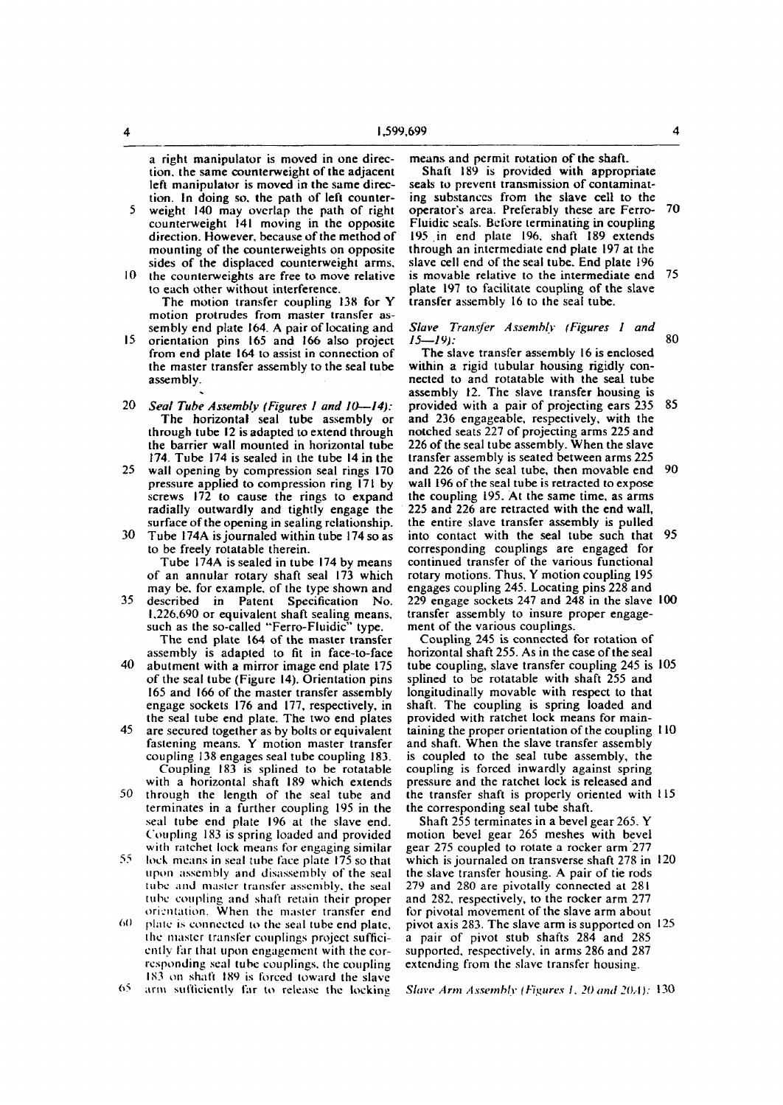a right manipulator is moved in one direction. the same counterweight of the adjacent left manipulator is moved in the same direction. In doing so, the path of left counter-

- 5 weight 140 may overlap the path of right counterweight 141 moving in the opposite direction. However, because of the method of mounting of the counterweights on opposite sides of the displaced counterweight arms,
- $10$  the counterweights are free to move relative to each other without interference. The motion transfer coupling 138 for Y motion protrudes from master transfer assembly end plate 164. A pair of locating and
- 15 orientation pins 165 and 166 also project from end plate 164 to assist in connection of the master transfer assembly to the seal tube assembly.
- 20 *Seat Tube Assembly (Figures 1 and 10—14):*  The horizontal seal tube assembly or through tube 12 is adapted to extend through the barrier wall mounted in horizontal tube 174. Tube 174 is sealed in the tube 14 in the
- 25 wall opening by compression seal rings 170 pressure applied to compression ring 171 by screws 172 to cause the rings to expand radially outwardly and tightly engage the surface of the opening in sealing relationship.
- 30 Tube 174A is journaled within tube 174 so as to be freely rotatable therein.

Tube 174A is sealed in tube 174 by means of an annular rotary shaft seal 173 which may be, for example, of the type shown and

35 described in Patent Specification No. 1,226,690 or equivalent shaft sealing means, such as the so-called "Ferro-Fluidic" type. The end plate 164 of the master transfer

assembly is adapted to fit in face-to-face

- 40 abutment with a mirror image end plate 175 of the seal tube (Figure 14). Orientation pins 165 and 166 of the master transfer assembly engage sockets 176 and 177, respectively, in the seal tube end plate. The two end plates 45 are secured together as by bolts or equivalent
- fastening means. Y motion master transfer coupling 138 engages seal tube coupling 183. Coupling 183 is splined to be rotatable with a horizontal shaft 189 which extends
- 50 through the length of the seal tube and terminates in a further coupling 195 in the seal tube end plate 196 at the slave end. Coupling 183 is spring loaded and provided with ratchet lock means for engaging similar
- 55 lock means in seal tube face plate 175 so that **upon** assembly and disassembly of the seal tube **and** master transfer assembly, the seal tube coupling and shaft retain their proper orientation. When the master transfer end
- $60$  plate is connected to the seal tube end plate, the master transfer couplings project sufficiently far that upon engagement with the corresponding seal tube couplings, the coupling IS3 on shaft 189 is forced toward the slave

means and permit rotation of the shaft.

Shaft 189 is provided with appropriate seals to prevent transmission of contaminating substances from the slave cell to the operator's area. Preferably these are Ferro- 70 Fluidic seals. Before terminating in coupling 195 in end plate 196, shaft 189 extends through an intermediate end plate 197 at the slave cell end of the seal tube. End plate 196 is movable relative to the intermediate end 75 plate 197 to facilitate coupling of the slave transfer assembly 16 to the seal tube.

### *Slave Transfer Assembly (Figures 1 and 15—19):* 80

The slave transfer assembly 16 is enclosed within a rigid tubular housing rigidly connected to and rotatable with the seal tube assembly 12. The slave transfer housing is provided with a pair of projecting ears 235 85 and 236 engageable, respectively, with the notched seats 227 of projecting arms 225 and 226 of the seal tube assembly. When the slave transfer assembly is seated between arms 225 and 226 of the seal tube, then movable end 90 wall 196 of the seal tube is retracted to expose the coupling 195. At the same time, as arms 225 and 226 are retracted with the end wall, the entire slave transfer assembly is pulled into contact with the seal tube such that 95 corresponding couplings are engaged for continued transfer of the various functional rotary motions. Thus, Y motion coupling 195 engages coupling 245. Locating pins 228 and 229 engage sockets 247 and 248 in the slave 100 transfer assembly to insure proper engagement of the various couplings.

Coupling 245 is connected for rotation of horizontal shaft 255. As in the case of the seal tube coupling, slave transfer coupling 245 is 105 splined to be rotatable with shaft 255 and longitudinally movable with respect to that shaft. The coupling is spring loaded and provided with ratchet lock means for maintaining the proper orientation of the coupling 110 and shaft. When the slave transfer assembly is coupled to the seal tube assembly, the coupling is forced inwardly against spring pressure and the ratchet lock is released and the transfer shaft is properly oriented with 115 the corresponding seal tube shaft.

Shaft 255 terminates in a bevel gear 265. Y motion bevel gear 265 meshes with bevel gear 275 coupled to rotate a rocker arm 277 which is journaled on transverse shaft 278 in 120 the slave transfer housing. A pair of tie rods 279 and 280 are pivotally connected at 281 and 282, respectively, to the rocker arm 277 for pivotal movement of the slave arm about pivot axis 283. The slave arm is supported on 125 a pair of pivot stub shafts 284 and 285 supported, respectively, in arms 286 and 287 extending from the slave transfer housing.

65. arm sufficiently far to release the locking

*Slave Arm Assembly (Figures I, 20 and 20A):* 130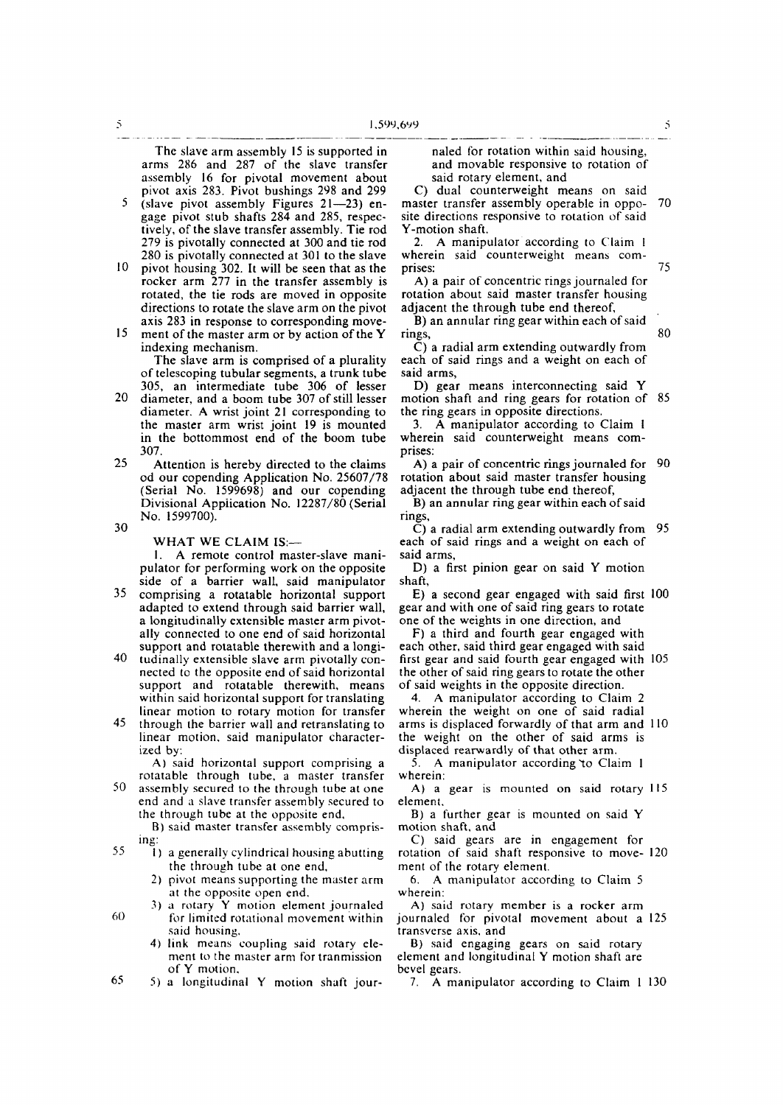**The slave arm assembly 15 is supported in arms 286 and 287 of the slave transfer assembly 16 for pivotal movement about pivot axis 283. Pivot bushings 298 and 299** 

**5 (slave pivot assembly Figures 21—23) engage pivot stub shafts 284 and 285, respec**tively, of the slave transfer assembly. Tie rod **279 is pivotally connected at 300 and tie rod 280 is pivotally connected at 301 to the slave** 

- **10 pivot housing 302. It will be seen that as the rocker arm 277 in the transfer assembly is rotated, the tie rods are moved in opposite directions to rotate the slave arm on the pivot axis 283 in response to corresponding move-**
- **15 ment of the master arm or by action of the Y indexing mechanism.**

**The slave arm is comprised of a plurality of telescoping tubular segments, a trunk tube 305, an intermediate tube 306 of lesser** 

- **20 diameter, and a boom tube 307 of still lesser diameter. A wrist joint 21 corresponding to the master arm wrist joint 19 is mounted in the bottommost end of the boom tube 307.**
- **25 Attention is hereby directed to the claims od our copending Application No. 25607/78 (Serial No. 1599698) and our copending Divisional Application No. 12287/80 (Serial No. 1599700).**
- **30**

### **WHAT WE CLAIM IS:—**

**1. A remote control master-slave manipulator for performing work on the opposite side of a barrier wall, said manipulator** 

- **35 comprising a rotatable horizontal support adapted to extend through said barrier wall, a longitudinally extensible master arm pivotally connected to one end of said horizontal support and rotatable therewith and a longi-**
- **40 tudinally extensible slave arm pivotally connected to the opposite end of said horizontal support and rotatable therewith, means within said horizontal support for translating linear motion to rotary motion for transfer**
- **45 through the barrier wall and retranslating to linear motion, said manipulator characterized by:**

**A) said horizontal support comprising a rotatable through tube, a master transfer** 

**50 assembly secured to the through tube at one end and a slave transfer assembly secured to the through tube at the opposite end,** 

**B) said master transfer assembly comprising:** 

- **55 |) a generally cylindrical housing abutting the through tube at one end.** 
	- **2) pivot means supporting the master arm at the opposite open end.**
- **3) a rotary Y motion element journaled 60 for limited rotational movement within said housing,** 
	- **4) link means coupling said rotary element to the master arm for tranmission of Y motion.**
- **65 5) a longitudinal Y motion shaft jour-**

**naled for rotation within said housing, and movable responsive to rotation of said rotary element, and** 

**C) dual counterweight means on said master transfer assembly operable in oppo- 70 site directions responsive to rotation of said Y-motion shaft.** 

**2. A manipulator according to Claim I wherein said counterweight means comprises: 75** 

**A) a pair of concentric rings journaled for rotation about said master transfer housing adjacent the through tube end thereof,** 

**B) an annular ring gear within each of said rings,** 80

**C) a radial arm extending outwardly from each of said rings and a weight on each of said arms,** 

**D) gear means interconnecting said Y motion shaft and ring gears for rotation of 85 the ring gears in opposite directions.** 

**3. A manipulator according to Claim 1 wherein said counterweight means comprises:** 

**A) a pair of concentric rings journaled for 90 rotation about said master transfer housing adjacent the through tube end thereof,** 

**B) an annular ring gear within each of said rings,** 

**C) a radial arm extending outwardly from 95 each of said rings and a weight on each of said arms,** 

**D) a first pinion gear on said Y motion shaft,** 

**E) a second gear engaged with said first 100 gear and with one of said ring gears to rotate one of the weights in one direction, and** 

**F) a third and fourth gear engaged with each other, said third gear engaged with said first gear and said fourth gear engaged with 105 the other of said ring gears to rotate the other of said weights in the opposite direction.** 

**4. A manipulator according to Claim 2 wherein the weight on one of said radial arms is displaced forwardly of that arm and 110 the weight on the other of said arms is displaced rearwardly of that other arm.** 

**5.** A manipulator according to Claim 1 **wherein:** 

**A) a gear is mounted on said rotary 115 element.** 

**B) a further gear is mounted on said Y motion shaft, and** 

**C) said gears are in engagement for rotation of said shaft responsive to move- 120 ment of the rotary element.** 

**6. A manipulator according to Claim 5 wherein:** 

**A) said rotary member is a rocker arm journaled for pivotal movement about a 125 transverse axis, and** 

**B) said engaging gears on said rotary element and longitudinal Y motion shaft are bevel gears.** 

**7. A manipulator according to Claim 1 130** 

 $\tilde{S}$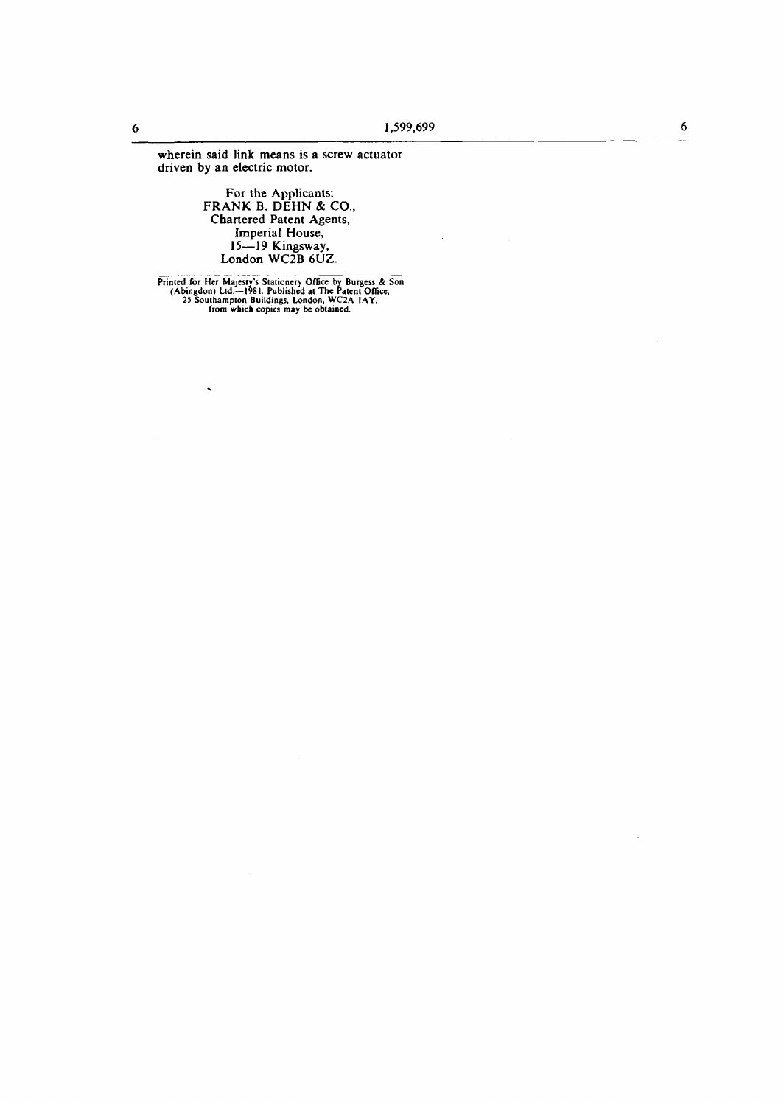wherein said link means is a screw actuator driven by an electric motor.

For the Applicants:<br>FRANK B. DEHN & CO.,<br>Chartered Patent Agents,<br>Imperial House,<br>15—19 Kingsway,<br>London WC2B 6UZ.

Printed for Her Majesty's Stationery Office by Burgess & Son<br>(Abingdon) Ltd.—1981. Published at The Patent Office,<br>25 Southampton Buildings, London, WC2A 1AY,<br>from which copies may be obtained.

 $\ddot{\phantom{0}}$ 

 $\mathcal{L}_{\mathcal{A}}$ 

 $\boldsymbol{6}$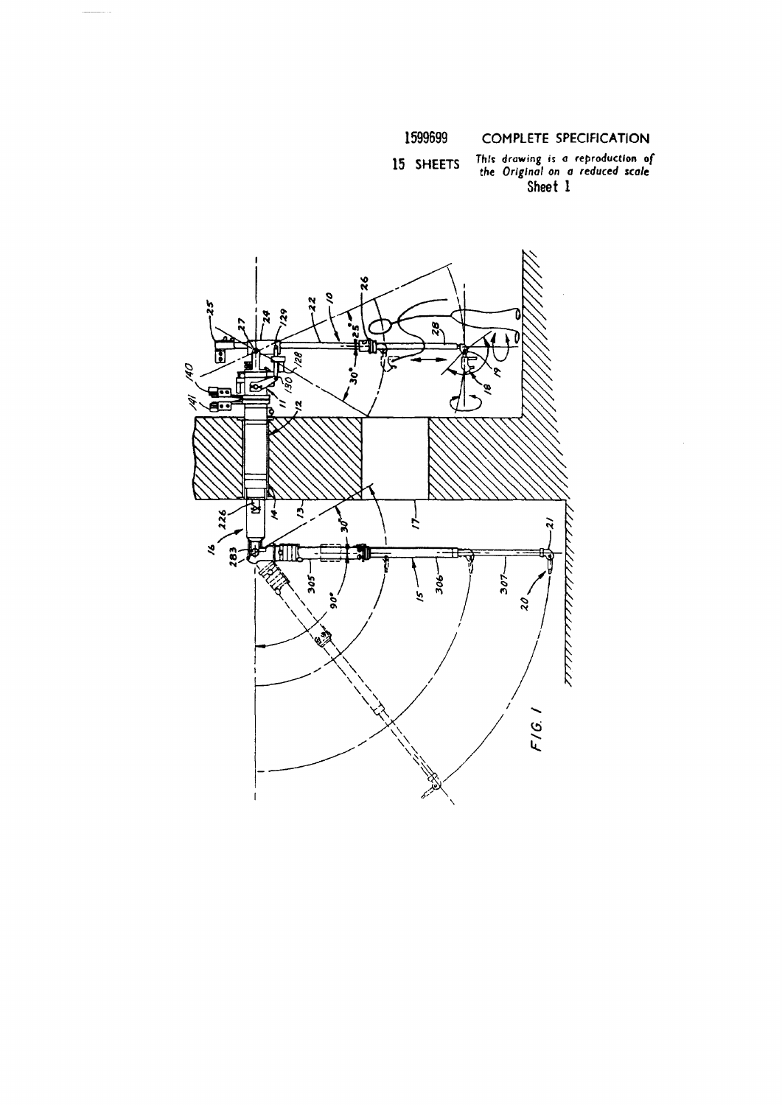# This drawing is a reproduction of<br>the Original on a reduced scale<br>Sheet 1 15 SHEETS

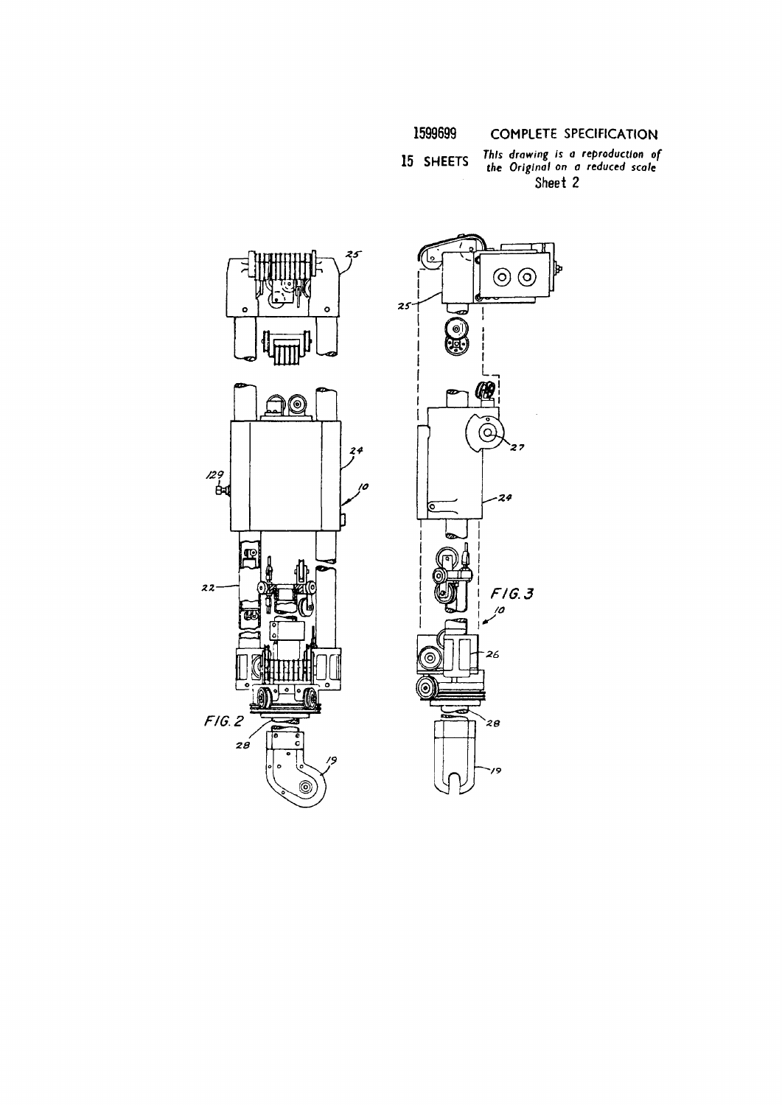This drawing is a reproduction of<br>the Original on a reduced scale 15 SHEETS Sheet 2



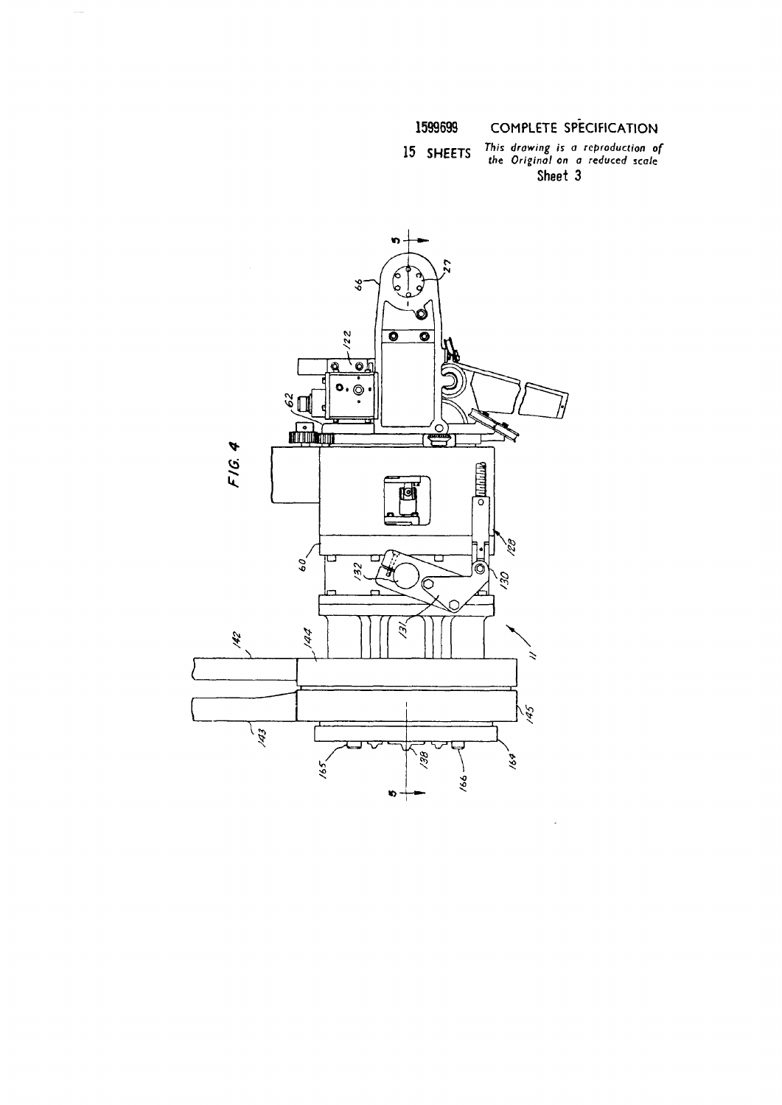### This drawing is a reproduction of<br>the Original on a reduced scale 15 SHEETS Sheet 3

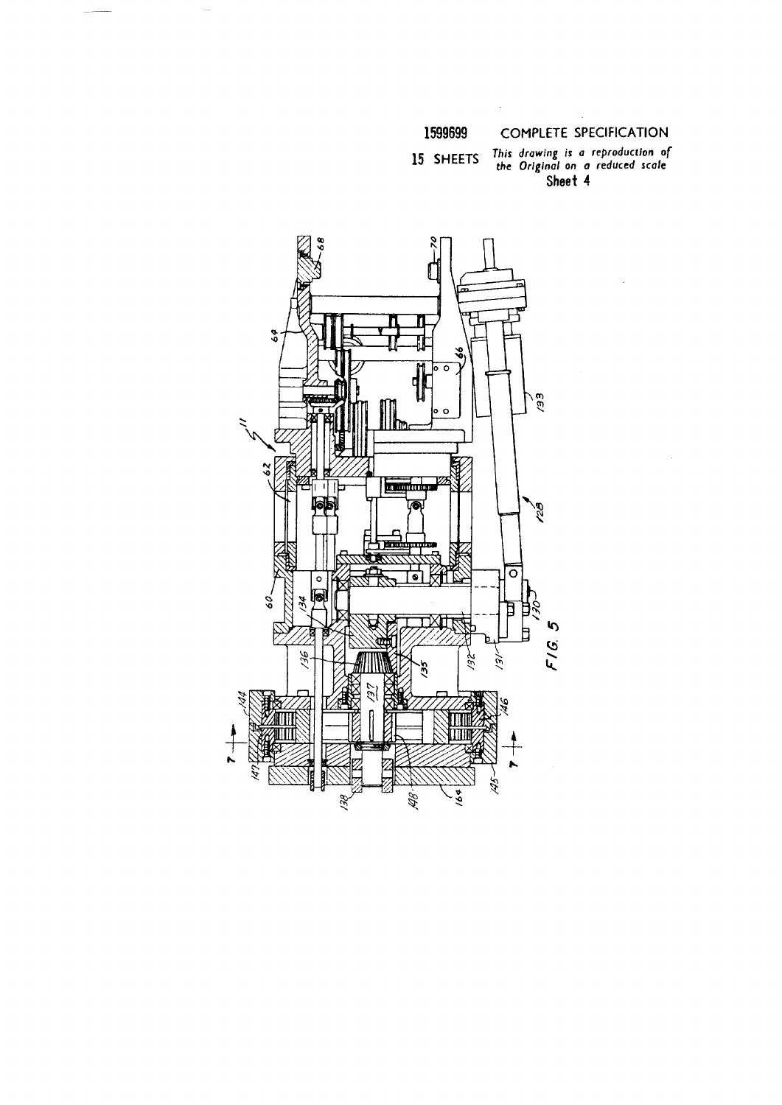## 1599699

## **COMPLETE SPECIFICATION**

This drawing is a reproduction of<br>the Original on a reduced scale<br>Sheet 4 15 SHEETS

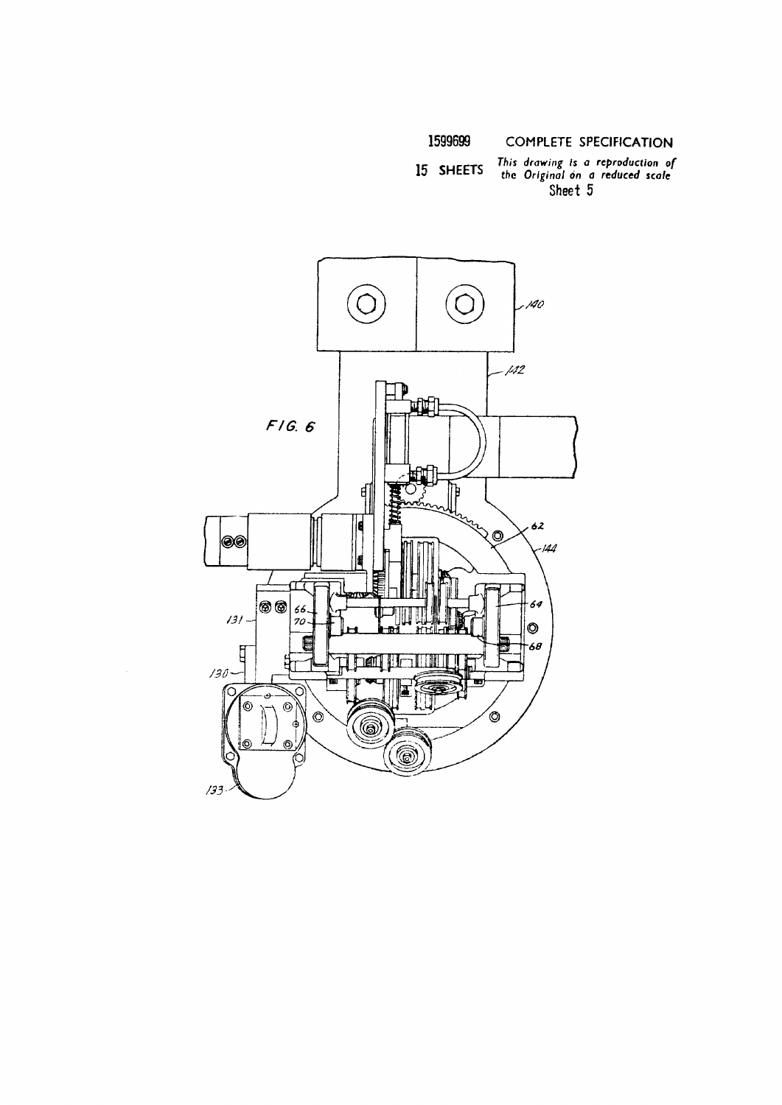1599699

**COMPLETE SPECIFICATION** 

This drawing is a reproduction of<br>the Original on a reduced scale<br>Sheet 5 15 SHEETS

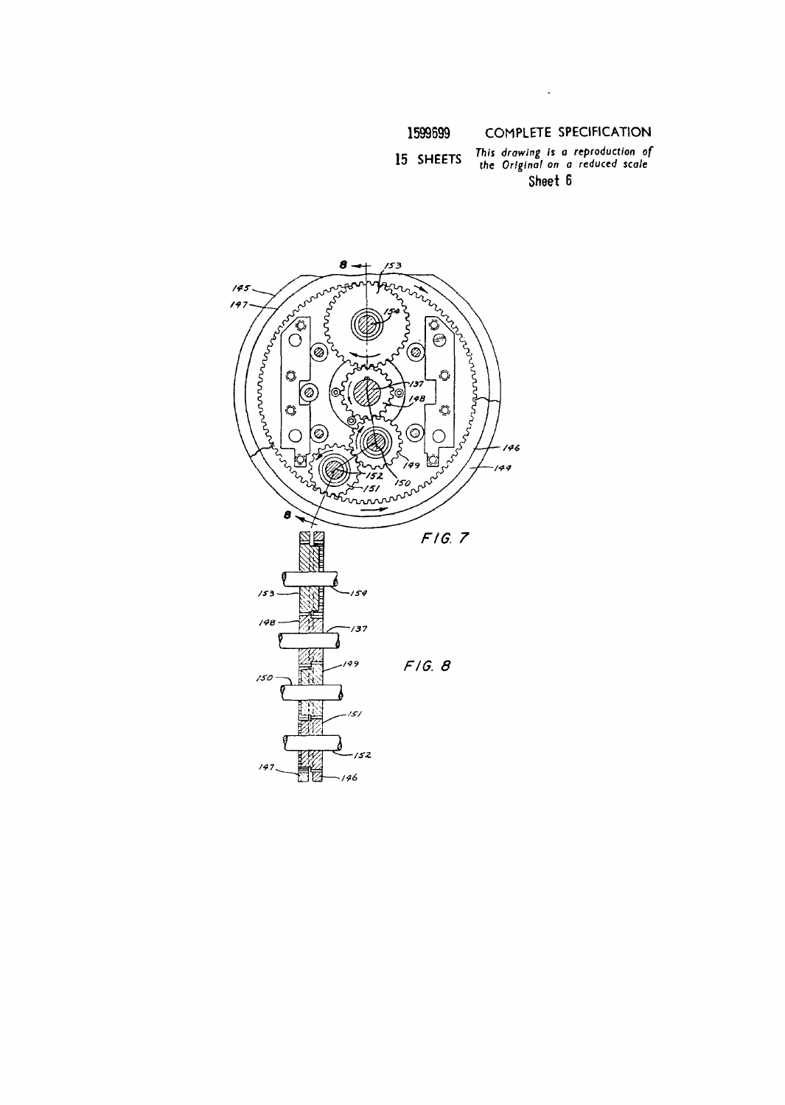$\ddot{\phantom{0}}$ 

### This drawing is a reproduction of<br>the Original on a reduced scale 15 SHEETS Sheet 6

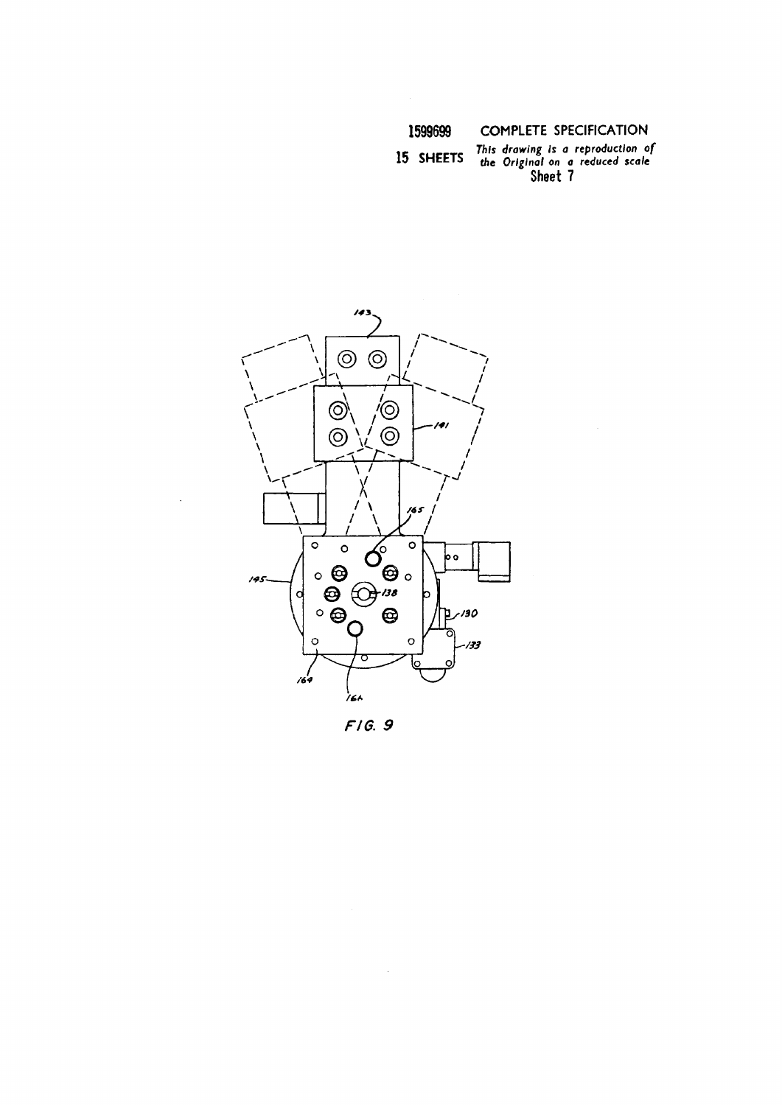This drawing is a reproduction of<br>the Original on a reduced scale<br>Sheet 7 15 SHEETS



 $F/G.9$ 

 $\hat{\mathcal{A}}$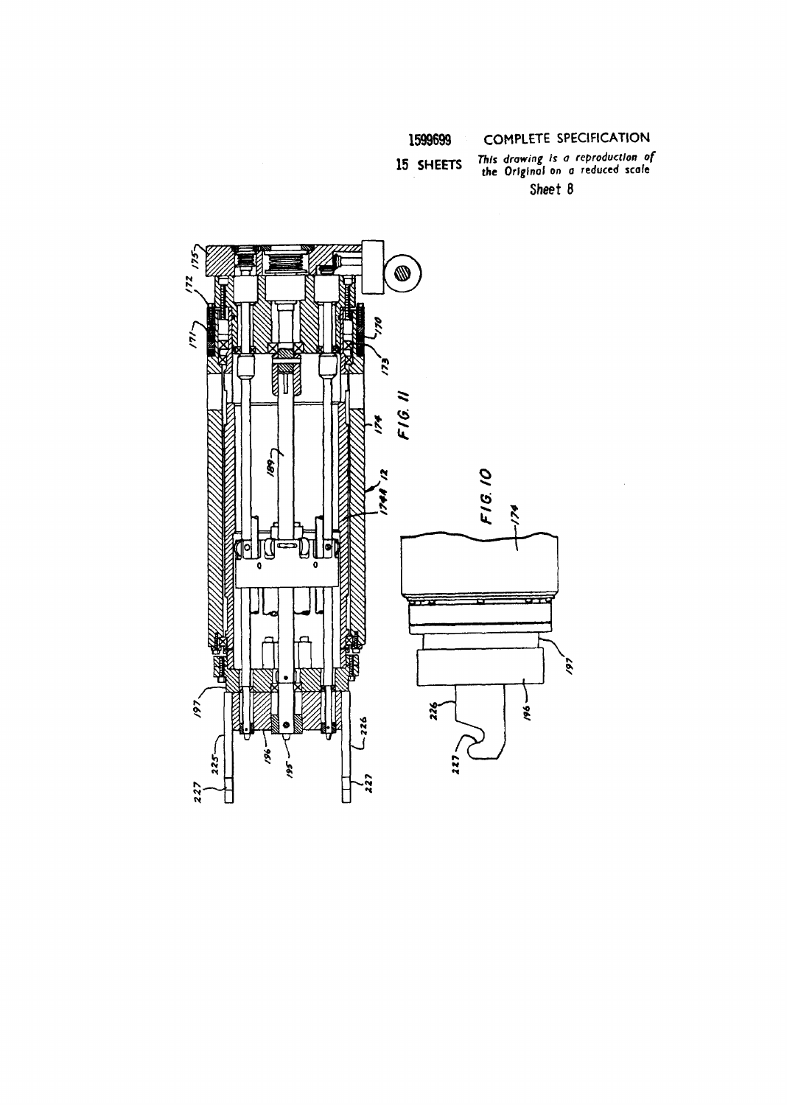## 15 SHEETS

# This drawing is a reproduction of<br>the Original on a reduced scale Sheet 8

 $\sim$ 

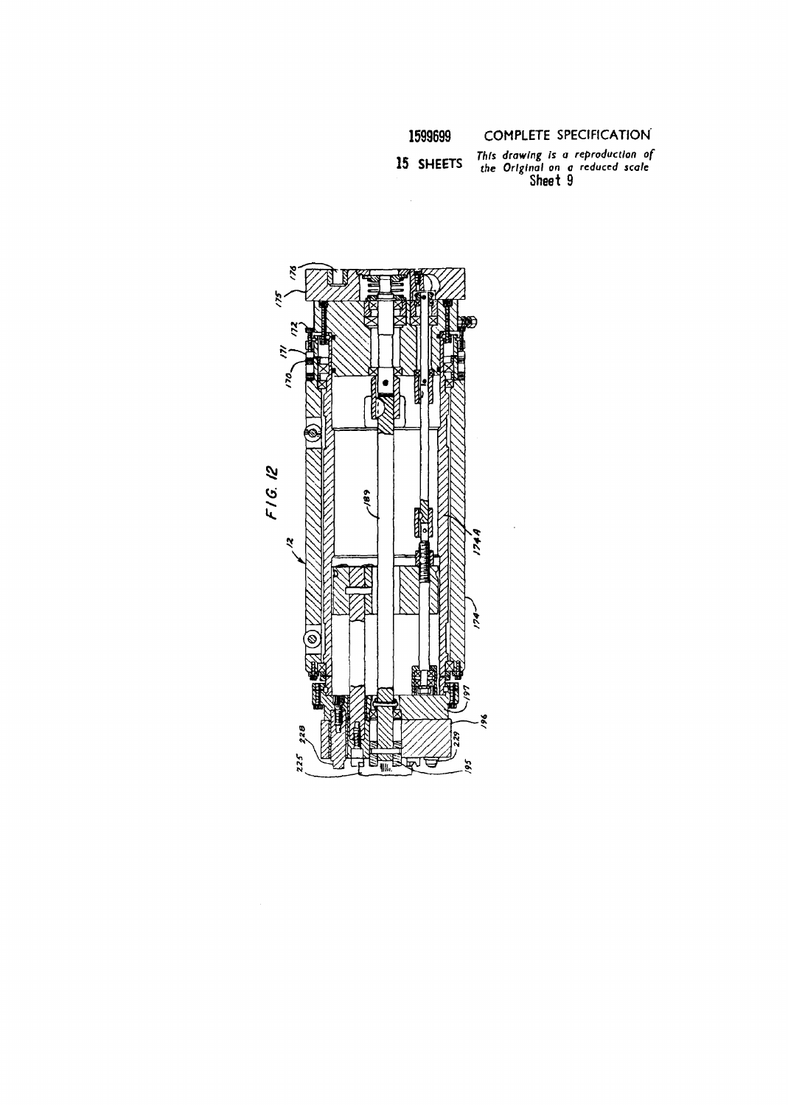

15 SHEETS

This drawing is a reproduction of<br>the Original on a reduced scale<br>Sheet 9

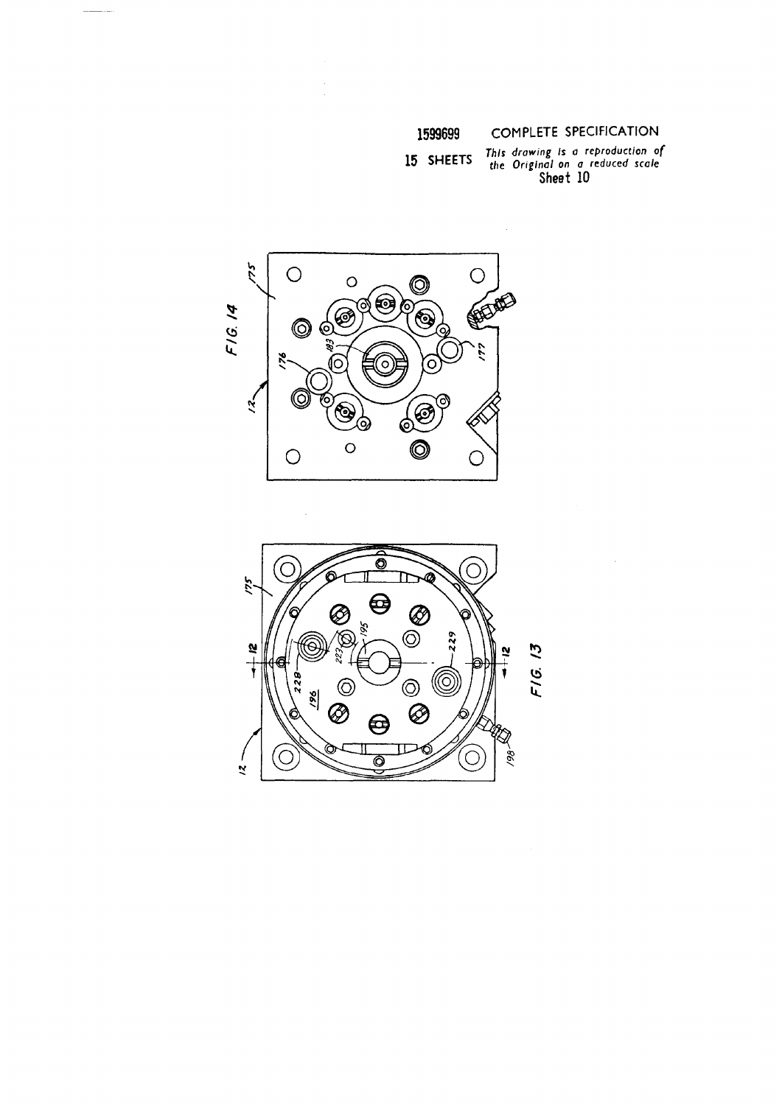This drawing is a reproduction of<br>the Original on a reduced scale<br>Sheet 10 15 SHEETS



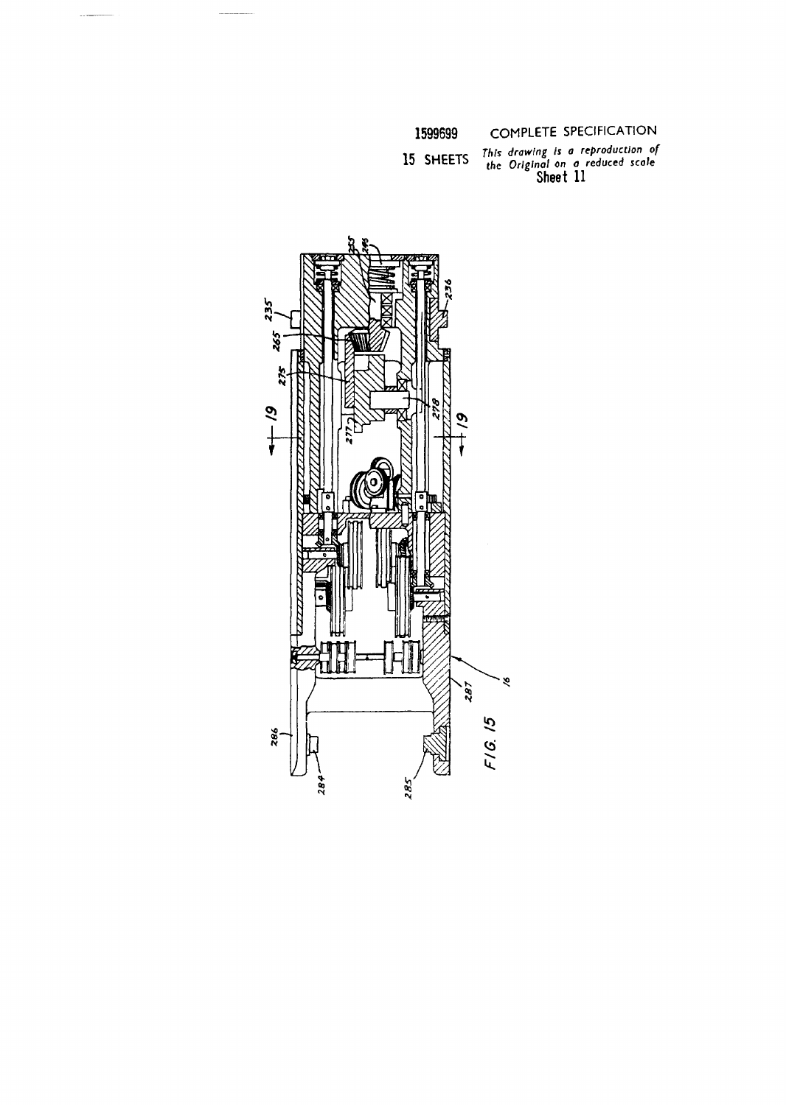15 SHEETS

This drawing is a reproduction of<br>the Original on a reduced scale<br>Sheet 11

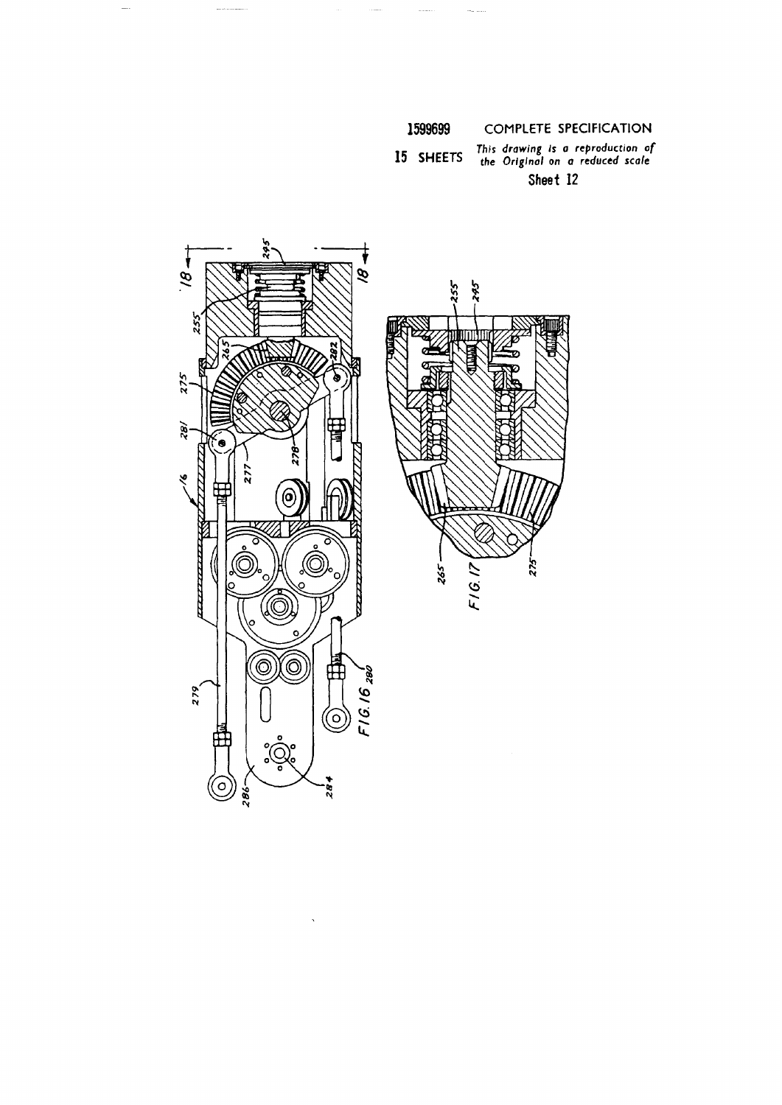This drawing is a reproduction of<br>the Original on a reduced scale 15 SHEETS Sheet 12

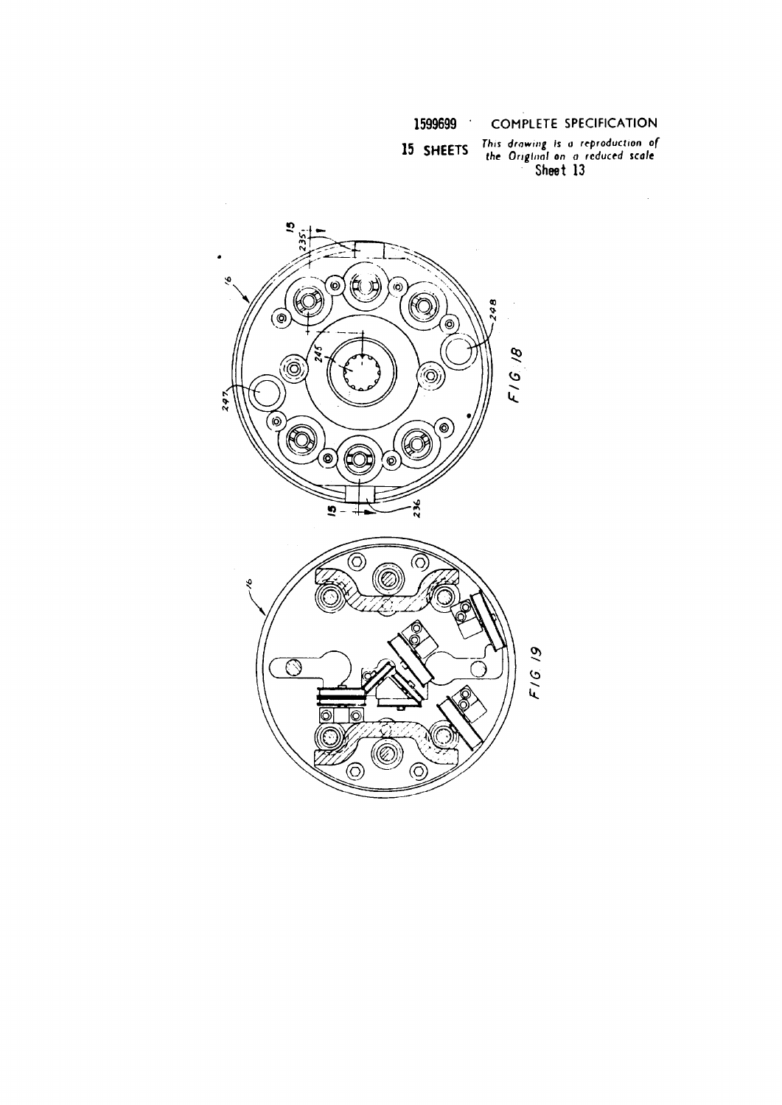## 15 SHEETS

This drawing is a reproduction of<br>the Original on a reduced scale<br>Sheet 13

 $\bar{\beta}$ 

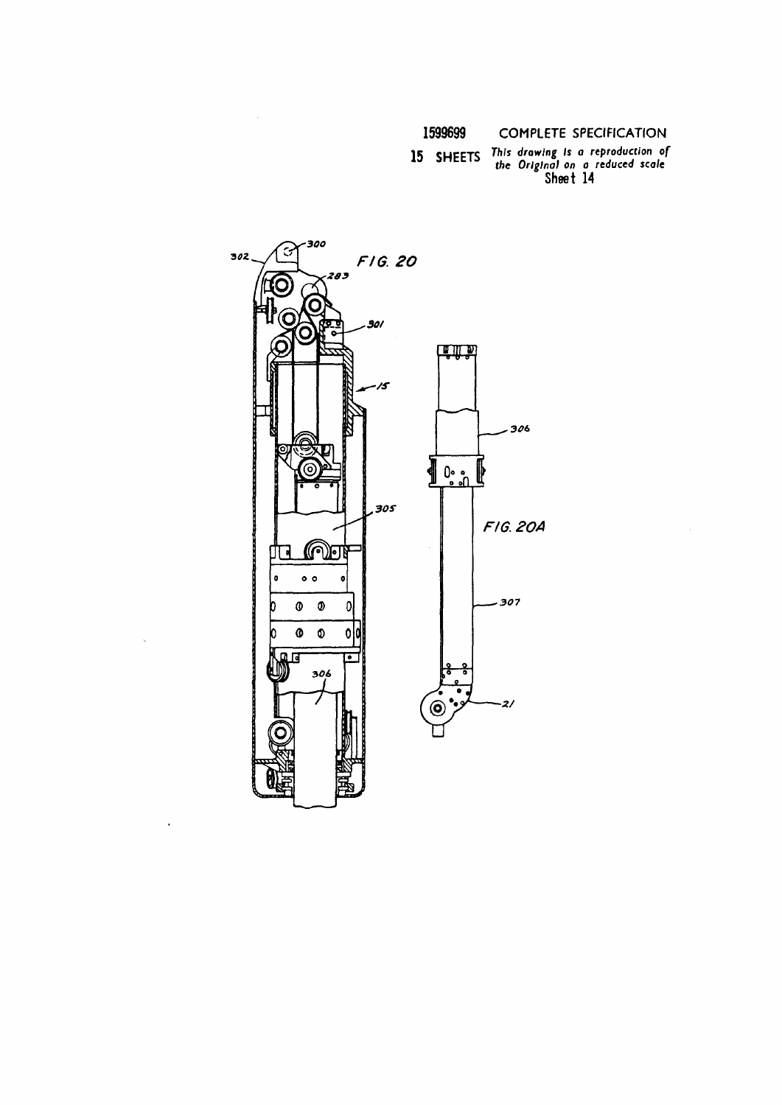15 SHEETS This drawing is a reproduction of<br>the Original on a reduced scale<br>Sheet 14



 $\ddot{\phantom{a}}$